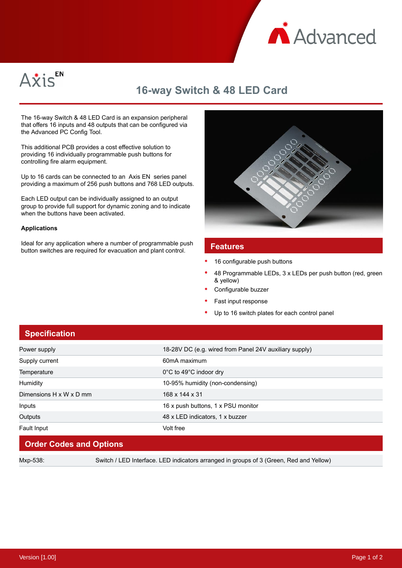



# **16-way Switch & 48 LED Card**

The 16-way Switch & 48 LED Card is an expansion peripheral that offers 16 inputs and 48 outputs that can be configured via the Advanced PC Config Tool.

This additional PCB provides a cost effective solution to providing 16 individually programmable push buttons for controlling fire alarm equipment.

Up to 16 cards can be connected to an Axis EN series panel providing a maximum of 256 push buttons and 768 LED outputs.

Each LED output can be individually assigned to an output group to provide full support for dynamic zoning and to indicate when the buttons have been activated.

#### **Applications**

Ideal for any application where a number of programmable push button switches are required for evacuation and plant control. **Features**



- 16 configurable push buttons
- 48 Programmable LEDs, 3 x LEDs per push button (red, green & yellow)
- Configurable buzzer
- Fast input response
- Up to 16 switch plates for each control panel

### **Specification**

| Power supply            | 18-28V DC (e.g. wired from Panel 24V auxiliary supply) |
|-------------------------|--------------------------------------------------------|
| Supply current          | 60mA maximum                                           |
| Temperature             | 0°C to 49°C indoor dry                                 |
| Humidity                | 10-95% humidity (non-condensing)                       |
| Dimensions H x W x D mm | 168 x 144 x 31                                         |
| Inputs                  | 16 x push buttons, 1 x PSU monitor                     |
| Outputs                 | 48 x LED indicators, 1 x buzzer                        |
| Fault Input             | Volt free                                              |
|                         |                                                        |

### **Order Codes and Options**

Mxp-538: Switch / LED Interface. LED indicators arranged in groups of 3 (Green, Red and Yellow)